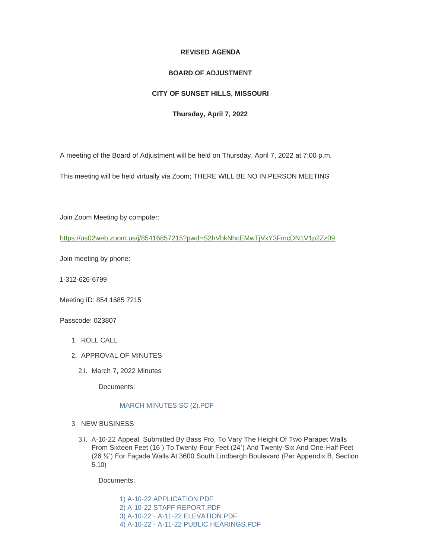## **REVISED AGENDA**

## **BOARD OF ADJUSTMENT**

## **CITY OF SUNSET HILLS, MISSOURI**

## **Thursday, April 7, 2022**

A meeting of the Board of Adjustment will be held on Thursday, April 7, 2022 at 7:00 p.m.

This meeting will be held virtually via Zoom; THERE WILL BE NO IN PERSON MEETING

Join Zoom Meeting by computer:

<https://us02web.zoom.us/j/85416857215?pwd=S2hVbkNhcEMwTjVxY3FmcDN1V1p2Zz09>

Join meeting by phone:

1-312-626-6799

Meeting ID: 854 1685 7215

Passcode: 023807

- 1. ROLL CALL
- 2. APPROVAL OF MINUTES
	- 2.I. March 7, 2022 Minutes

Documents:

# [MARCH MINUTES SC \(2\).PDF](https://www.sunset-hills.com/AgendaCenter/ViewFile/Item/4277?fileID=29019)

- 3. NEW BUSINESS
	- 3.I. A-10-22 Appeal, Submitted By Bass Pro, To Vary The Height Of Two Parapet Walls From Sixteen Feet (16') To Twenty-Four Feet (24') And Twenty-Six And One-Half Feet (26 ½') For Façade Walls At 3600 South Lindbergh Boulevard (Per Appendix B, Section 5.10)

Documents:

[1\) A-10-22 APPLICATION.PDF](https://www.sunset-hills.com/AgendaCenter/ViewFile/Item/4278?fileID=29020) [2\) A-10-22 STAFF REPORT.PDF](https://www.sunset-hills.com/AgendaCenter/ViewFile/Item/4278?fileID=29028) 3) A-10-22 - [A-11-22 ELEVATION.PDF](https://www.sunset-hills.com/AgendaCenter/ViewFile/Item/4278?fileID=29022) 4) A-10-22 - [A-11-22 PUBLIC HEARINGS.PDF](https://www.sunset-hills.com/AgendaCenter/ViewFile/Item/4278?fileID=29023)